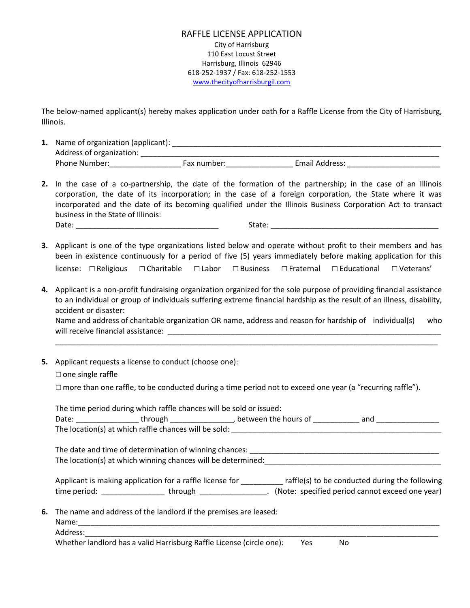## RAFFLE LICENSE APPLICATION City of Harrisburg 110 East Locust Street Harrisburg, Illinois 62946 618-252-1937 / Fax: 618-252-1553 [www.thecityofharrisburgil.com](http://www.thecityofharrisburgil.com/)

The below-named applicant(s) hereby makes application under oath for a Raffle License from the City of Harrisburg, Illinois.

- **1.** Name of organization (applicant): \_\_\_\_\_\_\_\_\_\_\_\_\_\_\_\_\_\_\_\_\_\_\_\_\_\_\_\_\_\_\_\_\_\_\_\_\_\_\_\_\_\_\_\_\_\_\_\_\_\_\_\_\_\_\_\_\_\_\_\_\_\_\_\_ Address of organization: \_\_\_\_\_\_\_\_\_\_\_\_\_\_\_\_\_\_\_\_\_\_\_\_\_\_\_\_\_\_\_\_\_\_\_\_\_\_\_\_\_\_\_\_\_\_\_\_\_\_\_\_\_\_\_\_\_\_\_\_\_\_\_\_\_\_\_\_\_\_\_ Phone Number:\_\_\_\_\_\_\_\_\_\_\_\_\_\_\_\_\_\_\_\_\_\_\_\_\_\_\_\_Fax number:\_\_\_\_\_\_\_\_\_\_\_\_\_\_\_\_\_\_\_\_\_\_\_\_\_\_\_\_\_ Email Address: \_\_\_\_\_\_\_\_\_\_\_\_\_
- **2.** In the case of a co-partnership, the date of the formation of the partnership; in the case of an Illinois corporation, the date of its incorporation; in the case of a foreign corporation, the State where it was incorporated and the date of its becoming qualified under the Illinois Business Corporation Act to transact business in the State of Illinois: Date: \_\_\_\_\_\_\_\_\_\_\_\_\_\_\_\_\_\_\_\_\_\_\_\_\_\_\_\_\_\_\_\_\_\_ State: \_\_\_\_\_\_\_\_\_\_\_\_\_\_\_\_\_\_\_\_\_\_\_\_\_\_\_\_\_\_\_\_\_\_\_\_\_\_\_\_
- **3.** Applicant is one of the type organizations listed below and operate without profit to their members and has been in existence continuously for a period of five (5) years immediately before making application for this license: □Religious □Charitable □Labor □Business □Fraternal □Educational □Veterans'
- **4.** Applicant is a non-profit fundraising organization organized for the sole purpose of providing financial assistance to an individual or group of individuals suffering extreme financial hardship as the result of an illness, disability, accident or disaster: Name and address of charitable organization OR name, address and reason for hardship of individual(s) who

will receive financial assistance:  $\blacksquare$ \_\_\_\_\_\_\_\_\_\_\_\_\_\_\_\_\_\_\_\_\_\_\_\_\_\_\_\_\_\_\_\_\_\_\_\_\_\_\_\_\_\_\_\_\_\_\_\_\_\_\_\_\_\_\_\_\_\_\_\_\_\_\_\_\_\_\_\_\_\_\_\_\_\_\_\_\_\_\_\_\_\_\_\_\_\_\_\_\_\_\_

**5.** Applicant requests a license to conduct (choose one):

## $\Box$  one single raffle

 $\Box$  more than one raffle, to be conducted during a time period not to exceed one year (a "recurring raffle").

|          | The time period during which raffle chances will be sold or issued:                                                                       |  |     |
|----------|-------------------------------------------------------------------------------------------------------------------------------------------|--|-----|
|          | Date: ___________________through __________________, between the hours of ____________                                                    |  | and |
|          | The location(s) at which raffle chances will be sold:                                                                                     |  |     |
|          |                                                                                                                                           |  |     |
|          | The location(s) at which winning chances will be determined:                                                                              |  |     |
|          | Applicant is making application for a raffle license for $\Box$ raffle(s) to be conducted during the following                            |  |     |
|          | time period: __________________through _________________. (Note: specified period cannot exceed one year)                                 |  |     |
|          | 6. The name and address of the landlord if the premises are leased:                                                                       |  |     |
|          |                                                                                                                                           |  |     |
| Address: |                                                                                                                                           |  |     |
|          | $\mathcal{M}$ , and the set of $\mathcal{M}$ , and the set of $\mathcal{M}$ , and the set of $\mathcal{M}$ , and the set of $\mathcal{M}$ |  |     |

Whether landlord has a valid Harrisburg Raffle License (circle one): Yes No